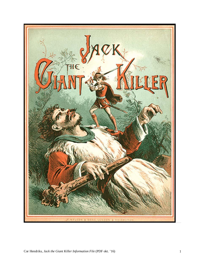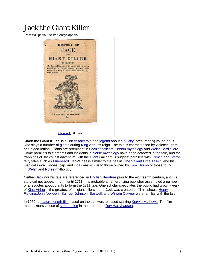# Jack the Giant Killer

From Wikipedia, the free encyclopedia



"**Jack the Giant Killer**" is a British fairy tale and legend about a plucky (presumably) young adult who slays a number of giants during King Arthur's reign. The tale is characterised by violence, gore and blood-letting. Giants are prominent in Cornish folklore, Breton mythology and Welsh Bardic lore. Some parallels to elements and incidents in Norse mythology have been detected in the tale, and the trappings of Jack's last adventure with the Giant Galigantus suggest parallels with French and Breton fairy tales such as Bluebeard. Jack's belt is similar to the belt in "The Valiant Little Tailor", and his magical sword, shoes, cap, and cloak are similar to those owned by Tom Thumb or those found in Welsh and Norse mythology.

Neither Jack nor his tale are referenced in English literature prior to the eighteenth century, and his story did not appear in print until 1711. It is probable an enterprising publisher assembled a number of anecdotes about giants to form the 1711 tale. One scholar speculates the public had grown weary of King Arthur – the greatest of all giant killers – and Jack was created to fill his shoes. Henry Fielding,John Newbery, Samuel Johnson, Boswell, and William Cowper were familiar with the tale.

In 1962, a feature-length film based on the tale was released starring Kerwin Mathews. The film made extensive use of stop motion in the manner of Ray Harryhausen.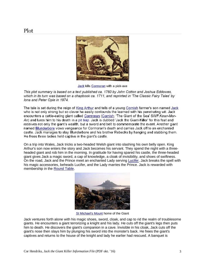

Jack kills Cormoran with a pick-axe

This plot summary is based on a text published ca. 1760 by John Cotton and Joshua Eddowes, which in its turn was based on a chapbook ca. 1711, and reprinted in 'The Classic Fairy Tales' by Iona and Peter Opie in 1974.

The tale is set during the reign of King Arthur and tells of a young Cornish farmer's son named Jack who is not only strong but so clever he easily confounds the learned with his penetrating wit. Jack encounters a cattle-eating giant called Cormoran (Cornish: 'The Giant of the Sea' SWF:Kowr-Mor-An) and lures him to his death in a pit trap. Jack is dubbed 'Jack the Giant-Killer' for this feat and receives not only the giant's wealth, but a sword and belt to commemorate the event. Another giant named Blunderbore vows vengeance for Cormoran's death and carries Jack off to an enchanted castle. Jack manages to slay Blunderbore and his brother Rebecks by hanging and stabbing them. He frees three ladies held captive in the giant's castle.

On a trip into Wales, Jack tricks a two-headed Welsh giant into slashing his own belly open. King Arthur's son now enters the story and Jack becomes his servant. They spend the night with a threeheaded giant and rob him in the morning. In gratitude for having spared his castle, the three-headed giant gives Jack a magic sword, a cap of knowledge, a cloak of invisibility, and shoes of swiftness. On the road, Jack and the Prince meet an enchanted Lady serving Lucifer. Jack breaks the spell with his magic accessories, beheads Lucifer, and the Lady marries the Prince. Jack is rewarded with membership in the Round Table.



**St Michael's Mount home of the Giant** 

Jack ventures forth alone with his magic shoes, sword, cloak, and cap to rid the realm of troublesome giants. He encounters a giant terrorizing a knight and his lady. He cuts off the giant's legs then puts him to death. He discovers the giant's companion in a cave. Invisible in his cloak, Jack cuts off the giant's nose then slays him by plunging his sword into the monster's back. He frees the giant's captives and returns to the house of the knight and lady he earlier had rescued. A banquet is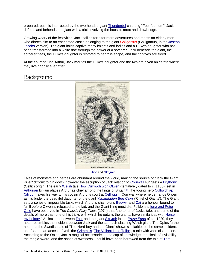prepared, but it is interrupted by the two-headed giant **Thunderdel chanting "Fee, fau, fum"**. Jack defeats and beheads the giant with a trick involving the house's moat and drawbridge.

Growing weary of the festivities, Jack sallies forth for more adventures and meets an elderly man who directs him to an enchanted castle belonging to the giant Galigantus (Galligantua, in the Joseph Jacobs version). The giant holds captive many knights and ladies and a Duke's daughter who has been transformed into a white doe through the power of a sorcerer. Jack beheads the giant, the sorcerer flees, the Duke's daughter is restored to her true shape, and the captives are freed.

At the court of King Arthur, Jack marries the Duke's daughter and the two are given an estate where they live happily ever after.

## Background



Thor and Skrymir

Tales of monsters and heroes are abundant around the world, making the source of "Jack the Giant Killer" difficult to pin down, however the ascription of Jack relation to Cornwall suggests a Brythonic (Celtic) origin. The early Welsh tale How Culhwch won Olwen (tentatively dated to c. 1100), set in Arthurian Britain places Arthur as chief among the kings of Britain.<sup>[1]</sup> The young hero Culhwch ap Cilydd makes his way to his cousin Arthur's court at Celliwig in Cornwall where he demands Olwen as his bride; the beautiful daughter of the giant *Ysbaddaden Ben Cawr* ('Chief of Giants'). The Giant sets a series of impossible tasks which Arthur's champions Bedwyr and Cai are honour-bound to fulfill before Olwen is released to the lad; and the Giant King must die. Folklorists Iona and Peter Opie have observed in *The Classic Fairy Tales* (1974) that "the tenor of Jack's tale, and some of the details of more than one of his tricks with which he outwits the giants, have similarities with Norse mythology." An incident between Thor and the giant Skrymir in the *Prose Edda* of ca. 1220, they note, resembles the incident between Jack and the stomach-slashing Welsh giant. The Opies further note that the Swedish tale of "The Herd-boy and the Giant" shows similarities to the same incident, and "shares an ancestor" with the Grimms's "The Valiant Little Tailor", a tale with wide distribution. According to the Opies, Jack's magical accessories – the cap of knowledge, the cloak of invisibility, the magic sword, and the shoes of swiftness – could have been borrowed from the tale of Tom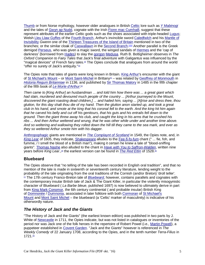Thumb or from Norse mythology, however older analogues in British Celtic lore such as *Y Mabinogi* and the tales of Gwyn ap Nudd, cognate with the Irish Fionn mac Cumhaill, suggest that these represent attributes of the earlier Celtic gods such as the shoes associated with triple-headed Lugus; Welsh Lleu Llaw Gyffes of the Fourth Branch, Arthur's invincible sword Caledfwlch and his Mantle of Invisibility *Gwenn* one of the Thirteen Treasures of the Island of Britain mentioned in two of the branches; or the similar cloak of <u>Caswallawn</u> in the <u>Second Branch.<sup>[2][3]</sup></u> Another parallel is the Greek demigod Perseus, who was given a magic sword, the winged sandals of Hermes and the 'cap of darkness' (borrowed from Hades) to slay the gorgon Medusa. Ruth B. Bottigheimer observes in *The Oxford Companion to Fairy Tales* that Jack's final adventure with Galigantus was influenced by the "magical devices" of French fairy tales.<sup>[4]</sup> The Opies conclude that analogues from around the world "offer no surety of Jack's antiquity."<sup>[3]</sup>

The Opies note that tales of giants were long known in Britain. King Arthur's encounter with the giant of St Michael's Mount – or Mont Saint-Michel in Brittany<sup>[5]</sup> – was related by Geoffrey of Monmouth in *Historia Regum Britanniae* in 1136, and published by Sir Thomas Malory in 1485 in the fifth chapter of the fifth book of *Le Morte d'Arthur*: [3]

*Then came to [King Arthur] an husbandman ... and told him how there was ... a great giant which had slain, murdered and devoured much people of the country ... [Arthur journeyed to the Mount, discovered the giant roasting dead children,] ... and hailed him, saying ... [A]rise and dress thee, thou glutton, for this day shalt thou die of my hand. Then the glutton anon started up, and took a great* club in his hand, and smote at the king that his coronal fell to the earth. And the king hit him again *that he carved his belly and cut off his genitours, that his guts and his entrails fell down to the ground. Then the giant threw away his club, and caught the king in his arms that he crushed his ribs ... And then Arthur weltered and wrung, that he was other while under and another time above. And so weltering and wallowing they rolled down the hill till they came to the sea mark, and ever as they so weltered Arthur smote him with his dagger.*

Anthropophagic giants are mentioned in *The Complaynt of Scotland* in 1549, the Opies note, and, in *King Lear* of 1605, they indicate, Shakespeare alludes to the Fee-fi-fo-fum chant (" ... fie, foh, and fumme, / I smell the blood of a British man"), making it certain he knew a tale of "blood-sniffing giants". Thomas Nashe also alluded to the chant in *Have with You to Saffron-Walden*, written nine years before *King Lear*., [3] the earliest version can be found in *The Red Ettin* of 1528.[6]

### **Bluebeard**

The Opies observe that "no telling of the tale has been recorded in English oral tradition", and that no mention of the tale is made in sixteenth or seventeenth century literature, lending weight to the probability of the tale originating from the oral traditions of the Cornish (and/or Breton) 'droll teller'. [7] The 17th century Franco-Breton tale of *Bluebeard*, however, contains parallels and cognates with the contemporary insular British tale of Jack & The Giant Killer, in particular the violently misogynistic character of Bluebeard ( *La Barbe bleue*, published 1697) is now believed to ultimately derive in part from King Mark Conomor, the 6th century continental ( and probable insular) British King of Domnonée / Dumnonia, associated in later folklore with both Cormoran of St Michael's Mount and Mont Saint Michel – the bluebeard (a 'Celtic' marker of masculinity) is indicative of his otherwordly nature.

### *The History of Jack and the Giants*

"The History of Jack and the Giants" (the earliest known edition) was published in two parts by J. White of Newcastle in 1711, the Opies indicate, but was not listed in catalogues or inventories of the period nor was Jack one of the folk heroes in the repertoire of Robert Powel (i.e., Martin Powell), a puppeteer established in Covent Garden. "Jack and the Giants" however is referenced in *The Weekly Comedy* of 22 January 1708, according to the Opies, and in the tenth number *Terra-Filius* in 1721.[3]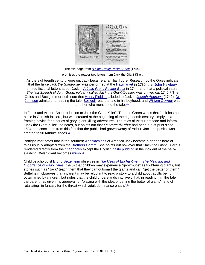

The title page from *A Little Pretty Pocket-Book* (1744)

promises the reader two letters from Jack the Giant Killer.

As the eighteenth century wore on, Jack became a familiar figure. Research by the Opies indicate that the farce *Jack the Giant-Killer* was performed at the Haymarket in 1730; that John Newbery printed fictional letters about Jack in *A Little Pretty Pocket-Book* in 1744; and that a political satire, *The last Speech of John Good, vulgarly called Jack the Giant-Queller*, was printed ca. 1745.[3] The Opies and Bottigheimer both note that Henry Fielding alluded to Jack in *Joseph Andrews* (1742); Dr. Johnson admitted to reading the tale; Boswell read the tale in his boyhood; and William Cowper was another who mentioned the tale.<sup>[3][4]</sup>

In "Jack and Arthur: An Introduction to Jack the Giant Killer", Thomas Green writes that Jack has no place in Cornish folklore, but was created at the beginning of the eighteenth century simply as a framing device for a series of gory, giant-killing adventures. The tales of Arthur precede and inform "Jack the Giant Killer", he notes, but points out that *Le Morte d'Arthur* had been out of print since 1634 and concludes from this fact that the public had grown weary of Arthur. Jack, he posits, was created to fill Arthur's shoes.<sup>[8]</sup>

Bottigheimer notes that in the southern Appalachians of America Jack became a generic hero of tales usually adapted from the Brothers Grimm. She points out however that "Jack the Giant Killer" is rendered directly from the chapbooks except the English hasty pudding in the incident of the bellyslashing Welsh giant becomes mush.<sup>[4]</sup>

Child psychologist Bruno Bettelheim observes in *The Uses of Enchantment: The Meaning and Importance of Fairy Tales* (1976) that children may experience "grown-ups" as frightening giants, but stories such as "Jack" teach them that they can outsmart the giants and can "get the better of them." Bettelheim observes that a parent may be reluctant to read a story to a child about adults being outsmarted by children, but notes that the child understands intuitively that, in reading him the tale, the parent has given his approval for "playing with the idea of getting the better of giants", and of retaliating "in fantasy for the threat which adult dominance entails".<sup>[9]</sup>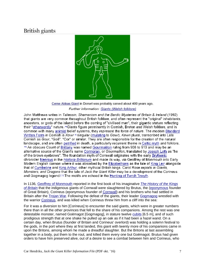# British giants



Cerne Abbas Giant in Dorset was probably carved about 400 years ago. Further information: Giants (Welsh folklore)

John Matthews writes in Taliessin. Shamanism and the Bardic Mysteries of Britain & Ireland (1992). that giants are very common throughout British folklore, and often represent the "original" inhabitants. ancestors, or gods of the island before the coming of "civilised man", their gigantic stature reflecting their "otherwordly" nature. "Giants figure prominently in Cornish, Breton and Welsh folklore, and in common with many animist belief systems, they represent the force of nature. The modern Standard Written Form in Cornish is Kowr<sup>on</sup> singular (mutating to Gowr), Kewri plural, transcribed into Late Cornish as Gour, "Goë", "Cor" or similar. They are often responsible for the creation of the natural landscape, and are often petrified in death, a particularly recurrent theme in Celtic myth and folklore. 191 An obscure Count of Brittany was named Gourmaëlon ruling from 908 to 913 and may be an alternative source of the Giant's name Cormoran, or Gourmaillon, translated by Joseph Loth as "he of the brown eyebrows". The foundation myth of Cornwall originates with the early Brythonic chronicler Nennius in the Historia Brittonum and made its way, via Geoffrey of Monmouth into Early Modern English cannon where it was absorbed by the Elizabethans as the tale of King Leir alongside that of Cymbeline and King Arthur, other mythical British kings. Carol Rose reports in Giants, Monsters, and Dragons that the tale of Jack the Giant Killer may be a development of the Corineus and Gogmagog legend.<sup>[3]</sup> The motifs are echoed in the Hunting of Twrch Trwyth.

In 1136, Geoffrey of Monmouth reported in the first book of his imaginative *The History of the Kings of Britain* that the indigenous giants of Cornwall were slaughtered by Brutus, the (eponymous founder of Great Britain), Corineus (eponymous founder of Cornwall) and his brothers who had settled in Britain after the Trojan War. Following the defeat of the giants, their leader Gogmagog wrestled with the warrior Corineus, and was killed when Corineus threw him from a cliff into the sea:

For it was a diversion to him [Corineus] to encounter the said giants, which were in greater numbers there than in all the other provinces that fell to the share of his companions. Among the rest was one detestable monster, named Goëmagot [Gogmagog], in stature twelve cubits [6.5 m], and of such prodigious strength that at one shake he pulled up an oak as if it had been a hazel wand. On a certain day, when Brutus (founder of Britain and Corineus' overlord) was holding a solemn festival to the gods, in the port where they at first landed, this giant with twenty more of his companions came in upon the Britons, among whom he made a dreadful slaughter. But the Britons at last assembling together in a body, put them to the rout, and killed them every one but Goëmagot. Brutus had given orders to have him preserved alive, out of a desire to see a combat between him and Corineus, who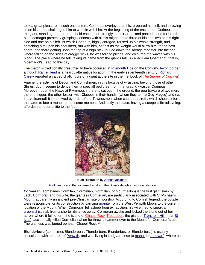took a great pleasure in such encounters. Corineus, overjoyed at this, prepared himself, and throwing aside his arms, challenged him to wrestle with him. At the beginning of the encounter, Corineus and the giant, standing, front to front, held each other strongly in their arms, and panted aloud for breath, but Goëmagot presently grasping Corineus with all his might, broke three of his ribs, two on his right side and one on his left. At which Corineus, highly enraged, roused up his whole strength, and snatching him upon his shoulders, ran with him, as fast as the weight would allow him, to the next shore, and there getting upon the top of a high rock, hurled down the savage monster into the sea; where falling on the sides of craggy rocks, he was torn to pieces, and coloured the waves with his blood. The place where he fell, taking its name from the giant's fall, is called Lam Goëmagot, that is, Goëmagot's Leap, to this day.

The match is traditionally presumed to have occurred at Plymouth Hoe on the Cornish-Devon border, although Rame Head is a nearby alternative location. In the early seventeenth century, Richard Carew reported a carved chalk figure of a giant at the site in the first book of *The Survey of Cornwall*:

Againe, the activitie of Devon and Cornishmen, in this facultie of wrastling, beyond those of other Shires, dooth seeme to derive them a speciall pedigree, from that graund wrastler Corineus. Moreover, upon the Hawe at Plymmouth, there is cut out in the ground, the pourtrayture of two men, the one bigger, the other lesser, with Clubbes in their hands, (whom they terme Gog-Magog) and (as I have learned) it is renewed by order of the Townesmen, when cause requireth, which should inferre the same to bee a monument of some moment. And lastly the place, having a steepe cliffe adjoyning, affordeth an oportunitie to the fact.



In an illustration by **Arthur Rackham**,

Galligantus and the sorcerer transform the Duke's daughter into a white doe

**Cormoran** (sometimes Cormilan, Cormelian, Gormillan, or Gourmaillon) is the first giant slain by Jack. Cormoran and his wife, the giantess Cormelian, are particularly associated with St Michael's Mount, apparently an ancient pre-Christian site of worship. According to Cornish legend, the couple were responsible for its construction by carrying granite from the West Penwith Moors to the current location of the Mount. When Cormoran fell asleep from exhaustion, his wife tried to sneak a greenschist slab from a shorter distance away. Cormoran awoke and kicked the stone out of her apron, where it fell to form the island of Chapel Rock.Trecobben, the giant of Trencrom Hill (near St Ives), accidentally killed Cormelian when he threw a hammer over to the Mount for Cormoran's use. The giantess was buried beneath Chapel Rock.<sup>[13]</sup>

**Blunderbore** (sometimes Blunderboar, Thunderbore, Blunderbus, or Blunderbuss) is usually associated with the area of Penwith, and was living in Ludgvan Lese (a manor in Ludgvan), where he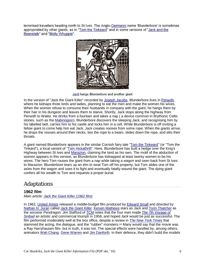terrorised travellers heading north to St Ives. The Anglo-Germanic name 'Blunderbore' is sometimes appropriated by other giants, as in "Tom the Tinkeard" and in some versions of "Jack and the Beanstalk" and "Molly Whuppie".



Jack hangs Blunderbore and another giant

In the version of "Jack the Giant Killer" recorded by Joseph Jacobs, Blunderbore lives in Penwith, where he kidnaps three lords and ladies, planning to eat the men and make the women his wives. When the women refuse to consume their husbands in company with the giant, he hangs them by their hair in his dungeon and leaves them to starve. Shortly, Jack stops along the highway from Penwith to Wales. He drinks from a fountain and takes a nap ( a device common in Brythonic Celtic stories, such as the Mabinogion). Blunderbore discovers the sleeping Jack, and recognising him by his labelled belt, carries him to his castle and locks him in a cell. While Blunderbore is off inviting a fellow giant to come help him eat Jack, Jack creates nooses from some rope. When the giants arrive, he drops the nooses around their necks, ties the rope to a beam, slides down the rope, and slits their throats.

A giant named Blunderbore appears in the similar Cornish fairy tale "Tom the Tinkeard" (or "Tom the Tinkard"), a local variant of "Tom Hickathrift". Here, Blunderbore has built a hedge over the King's Highway between St Ives and Marazion, claiming the land as his own. The motif of the abduction of women appears in this version, as Blunderbore has kidnapped at least twenty women to be his wives. The hero Tom rouses the giant from a nap while taking a wagon and oxen back from St Ives to Marazion. Blunderbore tears up an elm to swat Tom off his property, but Tom slides one of the axles from the wagon and uses it to fight and eventually fatally wound the giant. The dying giant confers all his wealth to Tom and requests a proper burial.

# Adaptations

### **1962 film**

*Main article: Jack the Giant Killer (1962 film)*

In 1962, United Artists released a middle-budget film produced by Edward Small and directed by Nathan H. Juran called *Jack the Giant Killer*. Kerwin Mathews stars as Jack and Torin Thatcher as the sorcerer Pendragon. Jim Stafford of TCM notes that the four men made *The 7th Voyage of Sinbad* an artistic and commercial triumph in 1958, and hoped *Jack* would be just as successful. The film performed moderately well at the box office, despite a review in *The New York Times* that slammed the acting, the dialogue, and the "rubber" monsters.<sup>[14]</sup> Many would say that the movie was a Ray Harryhausen film, but in truth, it was not. The special effects were handled by, among others, animators Wah Chang, Gene Warren and Jim Danforth. In their defence, they didn't build the models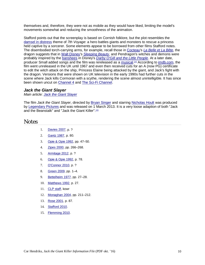themselves and, therefore, they were not as mobile as they would have liked, limiting the model's movements somewhat and reducing the smoothness of the animation.

Stafford points out that the screenplay is based on Cornish folklore, but the plot resembles the damsel in distress theme of *7th Voyage*: a hero battles giants and monsters to rescue a princess held captive by a sorcerer. Some elements appear to be borrowed from other films Stafford notes. The disembodied torch-carrying arms, for example, recall those in Cocteau's *La Belle et La Bête*, the dragon suggests that in Walt Disney's *Sleeping Beauty*, and Pendragon's witches and demons were probably inspired by the banshees in Disney's *Darby O'Gill and the Little People*. At a later date, producer Small added songs and the film was rereleased as a musical.<sup>[14]</sup> According to **imdb.com**, the film went unreleased in the UK until 1967 and even then received cuts for an A (now PG) certificate to edit the witch attack on the ship, Princess Elaine being attacked by the giant, and Jack's fight with the dragon. Versions that were shown on UK television in the early 1990s had further cuts in the scene where Jack kills Cormoran with a scythe, rendering the scene almost unintelligible. It has since been shown uncut on Channel 4 and The Sci-Fi Channel.

#### *Jack the Giant Slayer*

*Main article: Jack the Giant Slayer*

The film *Jack the Giant Slayer*, directed by Bryan Singer and starring Nicholas Hoult was produced by Legendary Pictures and was released on 1 March 2013. It is a very loose adaption of both "Jack and the Beanstalk" and "Jack the Giant Killer"<sup>[15]</sup>

## **Notes**

- 1. Davies 2007, p. ?
- 2. Gantz 1987, p. 80.
- 3. Opie & Opie 1992, pp. 47–50.
- 4. Zipes 2000, pp. 266–268.
- 5. Armitage 2012, p. ?
- 6. Opie & Opie 1992, p. 78.
- 7. O'Connor 2010, p. ?
- 8. Green 2009, pp. 1–4.
- 9. Bettelheim 1977, pp. 27–28.
- 10. Matthews 1992, p. 27.
- 11. CLP staff, kowr
- 12. Monaghan 2004, pp. 211–212.
- 13. Rose 2001, p. 87.
- 14. Stafford 2010.
- 15. Flemming 2010.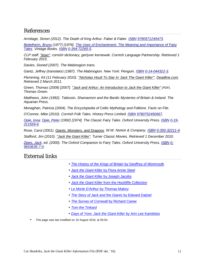## References

*Armitage, Simon (2012). The Death of King Arthur. Faber & Faber. ISBN 9780571249473.*

*Bettelheim, Bruno (1977) [1976]. The Uses of Enchantment: The Meaning and Importance of Fairy Tales. Vintage Books. ISBN 0-394-72265-5.*

*CLP staff. "kowr". cornish dictionary, gerlyver kernewek. Cornish Language Partnership. Retrieved 1 February 2015.*

*Davies, Sioned (2007). The Mabinogion trans.*

*Gantz, Jeffrey (translator) (1987). The Mabinogion. New York: Penguin. ISBN 0-14-044322-3.*

*Flemming, Kit (11 February 2010). "Nicholas Hoult To Star In 'Jack The Giant Killer'". Deadline.com. Retrieved 2 March 2011.*

*Green, Thomas (2009) [2007]. "Jack and Arthur: An Introduction to Jack the Giant Killer" (PDF). Thomas Green.*

*Matthews, John (1992). Taliessin, Shamanism and the Bardic Mysteries of Britain & Ireland. The Aquarian Press.*

*Monaghan, Patricia (2004). The Encyclopedia of Celtic Mythology and Folklore. Facts on File.*

*O'Connor, Mike (2010). Cornish Folk Tales. History Press Limited. ISBN 9780752450667.*

*Opie, Iona; Opie, Peter (1992) [1974]. The Classic Fairy Tales. Oxford University Press. ISBN 0-19- 211559-6.*

*Rose, Carol (2001). Giants, Monsters, and Dragons. W.W. Norton & Company. ISBN 0-393-32211-4.*

*Stafford, Jim (2010). "Jack the Giant Killer". Turner Classic Movies. Retrieved 1 December 2010.*

*Zipes, Jack, ed. (2000). The Oxford Companion to Fairy Tales. Oxford University Press. ISBN 0- 9653635-7-0.*

## External links

- • *The History of the Kings of Britain* by Geoffrey of Monmouth
- • *Jack the Giant Killer* by Flora Annie Steel
- • *Jack the Giant Killer* by Joseph Jacobs
- • *Jack the Giant Killer* from the Hockliffe Collection
- • *Le Morte D'Arthur* by Thomas Malory
- • *The Story of Jack and the Giants* by Edward Dalziel
- • *The Survey of Cornwall* by Richard Carew
- • *Tom the Tinkard*
- • *Days of Yore: Jack the Giant-Killer* by Arin Lee Kambitsis
- This page was last modified on 10 August 2016, at 05:03.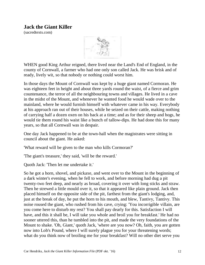## **Jack the Giant Killer**

(sacredtexts.com)



WHEN good King Arthur reigned, there lived near the Land's End of England, in the county of Cornwall, a farmer who had one only son called Jack. He was brisk and of ready, lively wit, so that nobody or nothing could worst him.

In those days the Mount of Cornwall was kept by a huge giant named Cormoran. He was eighteen feet in height and about three yards round the waist, of a fierce and grim countenance, the terror of all the neighbouring towns and villages. He lived in a cave in the midst of the Mount, and whenever he wanted food he would wade over to the mainland, where he would furnish himself with whatever came in his way. Everybody at his approach ran out of their houses, while he seized on their cattle, making nothing of carrying half a dozen oxen on his back at a time; and as for their sheep and hogs, he would tie them round his waist like a bunch of tallow-dips. He had done this for many years, so that all Cornwall was in despair.

One day Jack happened to be at the town-hall when the magistrates were sitting in council about the giant. He asked:

'What reward will be given to the man who kills Cormoran?'

'The giant's treasure,' they said, 'will be the reward.'

Quoth Jack: 'Then let me undertake it.'

So he got a horn, shovel, and pickaxe, and went over to the Mount in the beginning of a dark winter's evening, when he fell to work, and before morning had dug a pit twenty-two feet deep, and nearly as broad, covering it over with long sticks and straw. Then he strewed a little mould over it, so that it appeared like plain ground. Jack then placed himself on the opposite side of the pit, farthest from the giant's lodging, and, just at the break of day, he put the horn to his mouth, and blew, Tantivy, Tantivy. This noise roused the giant, who rushed from his cave, crying: 'You incorrigible villain, are you come here to disturb my rest? You shall pay dearly for this. Satisfaction I will have, and this it shall be, I will take you whole and broil you for breakfast.' He had no sooner uttered this, than he tumbled into the pit, and made the very foundations of the Mount to shake. 'Oh, Giant,' quoth Jack, 'where are you now? Oh, faith, you are gotten now into Lob's Pound, where I will surely plague you for your threatening words; what do you think now of broiling me for your breakfast? Will no other diet serve you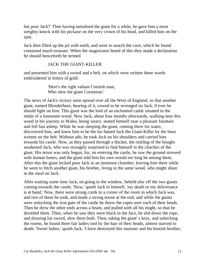but poor Jack?' Then having tantalised the giant for a while, he gave him a most weighty knock with his pickaxe on the very crown of his head, and killed him on the spot.

Jack then filled up the pit with earth, and went to search the cave, which he found contained much treasure. When the magistrates heard of this they made a declaration he should henceforth be termed

### JACK THE GIANT-KILLER

and presented him with a sword and a belt, on which were written these words embroidered in letters of gold:

> 'Here's the right valiant Cornish man, Who slew the giant Cormoran.'

The news of Jack's victory soon spread over all the West of England, so that another giant, named Blunderbore, hearing of it, vowed to be revenged on Jack, if ever he should light on him. This giant was the lord of an enchanted castle situated in the midst of a lonesome wood. Now Jack, about four months afterwards, walking near this wood in his journey to Wales, being weary, seated himself near a pleasant fountain and fell fast asleep. While he was sleeping the giant, coming there for water, discovered him, and knew him to be the far-famed Jack the Giant-Killer by the lines written on the belt. Without ado, he took Jack on his shoulders and carried him towards his castle. Now, as they passed through a thicket, the rustling of the boughs awakened Jack, who was strangely surprised to find himself in the clutches of the giant. His terror was only begun, for, on entering the castle, he saw the ground strewed with human bones, and the giant told him his own would ere long be among them. After this the giant locked poor Jack in an immense chamber, leaving him there while he went to fetch another giant, his brother, living in the same wood, who might share in the meal on Jack.

After waiting some time Jack, on going to the window, beheld afar off the two giants coming towards the castle. 'Now,' quoth Jack to himself, 'my death or my deliverance is at hand.' Now, there were strong cords in a corner of the room in which Jack was, and two of these he took, and made a strong noose at the end; and while the giants were unlocking the iron gate of the castle he threw the ropes over each of their heads. Then he drew the other ends across a beam, and pulled with all his might, so that he throttled them. Then, when he saw they were black in the face, he slid down the rope, and drawing his sword, slew them both. Then, taking the giant' s keys, and unlocking the rooms, he found three fair ladies tied by the hair of their heads, almost starved to death. 'Sweet ladies,' quoth Jack, 'I have destroyed this monster and his brutish brother,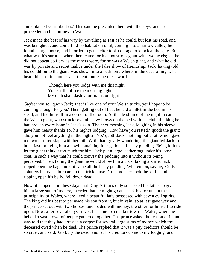and obtained your liberties.' This said he presented them with the keys, and so proceeded on his journey to Wales.

Jack made the best of his way by travelling as fast as he could, but lost his road, and was benighted, and could find no habitation until, coming into a narrow valley, he found a large house, and in order to get shelter took courage to knock at the gate. But what was his surprise when there came forth a monstrous giant with two heads; yet he did not appear so fiery as the others were, for he was a Welsh giant, and what he did was by private and secret malice under the false show of friendship. Jack, having told his condition to the giant, was shown into a bedroom, where, in the dead of night, he heard his host in another apartment muttering these words:

> 'Though here you lodge with me this night, You shall not see the morning light: My club shall dash your brains outright!'

'Say'st thou so,' quoth Jack; 'that is like one of your Welsh tricks, yet I hope to be cunning enough for you.' Then, getting out of bed, he laid a billet in the bed in his stead, and hid himself in a corner of the room. At the dead time of the night in came the Welsh giant, who struck several heavy blows on the bed with his club, thinking he had broken every bone in Jack's skin. The next morning Jack, laughing in his sleeve, gave him hearty thanks for his night's lodging. 'How have you rested?' quoth the giant; 'did you not feel anything in the night?' 'No,' quoth Jack, 'nothing but a rat, which gave me two or three slaps with her tail.' With that, greatly wondering, the giant led Jack to breakfast, bringing him a bowl containing four gallons of hasty pudding. Being loth to let the giant think it too much for him, Jack put a large leather bag under his loose coat, in such a way that he could convey the pudding into it without its being perceived. Then, telling the giant he would show him a trick, taking a knife, Jack ripped open the bag, and out came all the hasty pudding. Whereupon, saying, 'Odds splutters her nails, hur can do that trick hurself', the monster took the knife, and ripping open his belly, fell down dead.

Now, it happened in these days that King Arthur's only son asked his father to give him a large sum of money, in order that he might go and seek his fortune in the principality of Wales, where lived a beautiful lady possessed with seven evil spirits. The king did his best to persuade his son from it, but in vain; so at last gave way and the prince set out with two horses, one loaded with money, the other for himself to ride upon. Now, after several days' travel, he came to a market-town in Wales, where he beheld a vast crowd of people gathered together. The prince asked the reason of it, and was told that they had arrested a corpse for several large sums of money which the deceased owed when he died. The prince replied that it was a pity creditors should be so cruel, and said: 'Go bury the dead, and let his creditors come to my lodging, and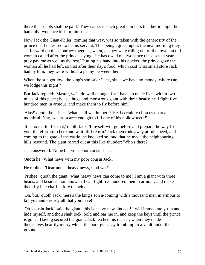there their debts shall be paid.' They came, in such great numbers that before night he had only twopence left for himself.

Now Jack the Giant-Killer, coming that way, was so taken with the generosity of the prince that he desired to be his servant. This being agreed upon, the next morning they set forward on their journey together, when, as they were riding out of the town, an old woman called after the prince, saying, 'He has owed me twopence these seven years; pray pay me as well as the rest.' Putting his hand into his pocket, the prince gave the woman all he had left, so that after their day's food, which cost what small store Jack had by him, they were without a penny between them.

When the sun got low, the king's son said: 'Jack, since we have no money, where can we lodge this night?'

But Jack replied: 'Master, we'll do well enough, for I have an uncle lives within two miles of this place; he is a huge and monstrous giant with three heads; he'll fight five hundred men in armour, and make them to fly before him.'

'Alas!' quoth the prince, 'what shall we do there? He'll certainly chop us up at a mouthful. Nay, we are scarce enough to fill one of his hollow teeth!'

'It is no matter for that,' quoth Jack; 'I myself will go before and prepare the way for you; therefore stop here and wait till I return.' Jack then rode away at full speed, and coming to the gate of the castle, he knocked so loud that he made the neighbouring hills resound. The giant roared out at this like thunder: 'Who's there?'

Jack answered: 'None but your poor cousin Jack.'

Quoth he: 'What news with my poor cousin Jack?'

He replied: 'Dear uncle, heavy news, God wot!'

'Prithee,' quoth the giant, 'what heavy news can come to me? I am a giant with three heads, and besides thou knowest I can fight five hundred men in armour, and make them fly like chaff before the wind.'

'Oh, but,' quoth Jack, 'here's the king's son a-coming with a thousand men in armour to kill you and destroy all that you have!'

'Oh, cousin Jack,' said the giant, 'this is heavy news indeed! I will immediately run and hide myself, and thou shalt lock, bolt, and bar me in, and keep the keys until the prince is gone.' Having secured the giant, Jack fetched his master, when they made themselves heartily merry whilst the poor giant lay trembling in a vault under the ground.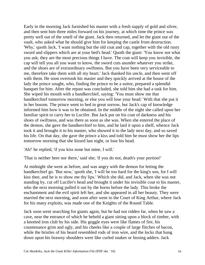Early in the morning Jack furnished his master with a fresh supply of gold and silver, and then sent him three miles forward on his journey, at which time the prince was pretty well out of the smell of the giant. Jack then returned, and let the giant out of the vault, who asked what he should give him for keeping the castle from destruction. 'Why,' quoth Jack, 'I want nothing but the old coat and cap, together with the old rusty sword and slippers which are at your bed's head.' Quoth the giant: 'You know not what you ask; they are the most precious things I have. The coat will keep you invisible, the cap will tell you all you want to know, the sword cuts asunder whatever you strike, and the shoes are of extraordinary swiftness. But you have been very serviceable to me, therefore take them with all my heart.' Jack thanked his uncle, and then went off with them. He soon overtook his master and they quickly arrived at the house of the lady the prince sought, who, finding the prince to be a suitor, prepared a splendid banquet for him. After the repast was concluded, she told him she had a task for him. She wiped his mouth with a handkerchief, saying: 'You must show me that handkerchief tomorrow morning, or else you will lose your head.' With that she put it in her bosom. The prince went to bed in great sorrow, but Jack's cap of knowledge informed him how it was to be obtained. In the middle of the night she called upon her familiar spirit to carry her to Lucifer. But Jack put on his coat of darkness and his shoes of swiftness, and was there as soon as she was. When she entered the place of the demon, she gave the handkerchief to him, and he laid it upon a shelf, whence Jack took it and brought it to his master, who showed it to the lady next day, and so saved his life. On that day, she gave the prince a kiss and told him he must show her the lips tomorrow morning that she kissed last night, or lose his head.

'Ah!' he replied, 'if you kiss none but mine, I will.'

'That is neither here nor there,' said she; 'if you do not, death's your portion!'

At midnight she went as before, and was angry with the demon for letting the handkerchief go. 'But now,' quoth she, 'I will be too hard for the king's son, for I will kiss thee, and he is to show me thy lips.' Which she did, and Jack, when she was not standing by, cut off Lucifer's head and brought it under his invisible coat to his master, who the next morning pulled it out by the horns before the lady. This broke the enchantment and the evil spirit left her, and she appeared in all her beauty. They were married the next morning, and soon after went to the Court of King Arthur, where Jack for his many exploits, was made one of the Knights of the Round Table.

Jack soon went searching for giants again, but he had not ridden far, when he saw a cave, near the entrance of which he beheld a giant sitting upon a block of timber, with a knotted iron club by his side. His goggle eyes were like flames of fire, his countenance grim and ugly, and his cheeks like a couple of large flitches of bacon, while the bristles of his beard resembled rods of iron wire, and the locks that hung down upon his brawny shoulders were like curled snakes or hissing adders. Jack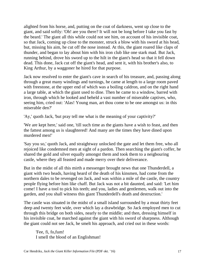alighted from his horse, and, putting on the coat of darkness, went up close to the giant, and said softly: 'Oh! are you there? It will not be long before I take you fast by the beard.' The giant all this while could not see him, on account of his invisible coat, so that Jack, coming up close to the monster, struck a blow with his sword at his head, but, missing his aim, he cut off the nose instead. At this, the giant roared like claps of thunder, and began to lay about him with his iron club like one stark mad. But Jack, running behind, drove his sword up to the hilt in the giant's head so that it fell down dead. This done, Jack cut off the giant's head, and sent it, with his brother's also, to King Arthur, by a waggoner he hired for that purpose.

Jack now resolved to enter the giant's cave in search of his treasure, and, passing along through a great many windings and turnings, he came at length to a large room paved with freestone, at the upper end of which was a boiling caldron, and on the right hand a large table, at which the giant used to dine. Then he came to a window, barred with iron, through which he looked and beheld a vast number of miserable captives, who, seeing him, cried out: 'Alas! Young man, art thou come to be one amongst us: in this miserable den?'

'Ay,' quoth Jack, 'but pray tell me what is the meaning of your captivity?'

'We are kept here,' said one, 'till such time as the giants have a wish to feast, and then the fattest among us is slaughtered! And many are the times they have dined upon murdered men!'

'Say you so,' quoth Jack, and straightway unlocked the gate and let them free, who all rejoiced like condemned men at sight of a pardon. Then searching the giant's coffer, he shared the gold and silver equally amongst them and took them to a neigbouring castle, where they all feasted and made merry over their deliverance.

But in the midst of all this mirth a messenger brought news that one Thunderdell, a giant with two heads, having heard of the death of his kinsmen, had come from the northern dales to be revenged on Jack, and was within a mile of the castle, the country people flying before him like chaff. But Jack was not a bit daunted, and said: 'Let him come! I have a tool to pick his teeth; and you, ladies and gentlemen, walk out into the garden, and you shall witness this giant Thunderdell's death and destruction.'

The castle was situated in the midst of a small island surrounded by a moat thirty feet deep and twenty feet wide, over which lay a drawbridge. So Jack employed men to cut through this bridge on both sides, nearly to the middle; and then, dressing himself in his invisible coat, he marched against the giant with his sword of sharpness. Although the giant could not see Jack, he smelt his approach, and cried out in these words:

'Fee, fi, fo,fum! I smell the blood of an Englishman!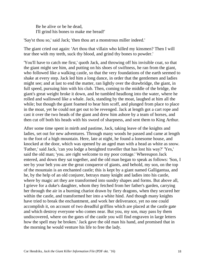Be he alive or be he dead, I'll grind his bones to make me bread!'

'Say'st thou so,' said Jack; 'then thou art a monstrous miller indeed.'

The giant cried out again: 'Art thou that villain who killed my kinsmen? Then I will tear thee with my teeth, suck thy blood, and grind thy bones to powder.'

'You'll have to catch me first,' quoth Jack, and throwing off his invisible coat, so that the giant might see him, and putting on his shoes of swiftness, he ran from the giant, who followed like a walking castle, so that the very foundations of the earth seemed to shake at every step. Jack led him a long dance, in order that the gentlemen and ladies might see; and at last to end the matter, ran lightly over the drawbridge, the giant, in full speed, pursuing him with his club. Then, coming to the middle of the bridge, the giant's great weight broke it down, and he tumbled headlong into the water, where he rolled and wallowed like a whale. Jack, standing by the moat, laughed at him all the while; but though the giant foamed to hear him scoff, and plunged from place to place in the moat, yet he could not get out to be revenged. Jack at length got a cart rope and cast it over the two heads of the giant and drew him ashore by a team of horses, and then cut off both his heads with his sword of sharpness, and sent them to King Arthur.

After some time spent in mirth and pastime, Jack, taking leave of the knights and ladies, set out for new adventures. Through many woods he passed and came at length to the foot of a high mountain. Here, late at night, he found a lonesome house, and knocked at the door, which was opened by an aged man with a head as white as snow. 'Father,' said Jack, 'can you lodge a benighted traveller that has lost his way?' 'Yes,' said the old man; 'you. are right welcome to my poor cottage.' Whereupon Jack entered, and down they sat together, and the old man began to speak as follows: 'Son, I see by your belt you are the great conqueror of giants, and behold, my son, on the top of the mountain is an enchanted castle; this is kept by a giant named Galligantua, and he, by the help of an old conjurer, betrays many knight and ladies into his castle, where by magic art they are transformed into sundry shapes and forms. But above all, I grieve for a duke's daughter, whom they fetched from her father's garden, carrying her through the air in a burning chariot drawn by fiery dragons, when they secured her within the castle, and transformed her into a white hind. And though many knights have tried to break the enchantment, and work her deliverance, yet no one could accomplish it, on account of two dreadful griffins which are placed at the castle gate and which destroy everyone who comes near. But you, my son, may pass by them undiscovered, where on the gates of the castle you will find engraven in large letters how the spell may be broken.' Jack gave the old man his hand, and promised that in the morning he would venture his life to free the lady.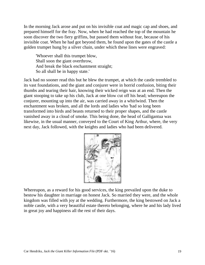In the morning Jack arose and put on his invisible coat and magic cap and shoes, and prepared himself for the fray. Now, when he had reached the top of the mountain he soon discover the two fiery griffins, but passed them without fear, because of his invisible coat. When he had got beyond them, he found upon the gates of the castle a golden trumpet hung by a silver chain, under which these lines were engraved:

'Whoever shall this trumpet blow, Shall soon the giant overthrow, And break the black enchantment straight; So all shall be in happy state.'

Jack had no sooner read this but he blew the trumpet, at which the castle trembled to its vast foundations, and the giant and conjurer were in horrid confusion, biting their thumbs and tearing their hair, knowing their wicked reign was at an end. Then the giant stooping to take up his club, Jack at one blow cut off his head; whereupon the conjurer, mounting up into the air, was carried away in a whirlwind. Then the enchantment was broken, and all the lords and ladies who 'had so long been transformed into birds and beasts returned to their proper shapes, and the castle vanished away in a cloud of smoke. This being done, the head of Galligantua was likewise, in the usual manner, conveyed to the Court of King Arthur, where, the very next day, Jack followed, with the knights and ladies who had been delivered.



Whereupon, as a reward for his good services, the king prevailed upon the duke to bestow his daughter in marriage on honest Jack. So married they were, and the whole kingdom was filled with joy at the wedding. Furthermore, the king bestowed on Jack a noble castle, with a very beautiful estate thereto belonging, where he and his lady lived in great joy and happiness all the rest of their days.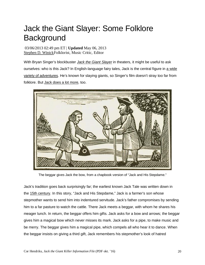# Jack the Giant Slayer: Some Folklore **Background**

03/06/2013 02:49 pm ET | **Updated** May 06, 2013 Stephen D. WinickFolklorist, Music Critic, Editor

With Bryan Singer's blockbuster *Jack the Giant Slayer* in theaters, it might be useful to ask ourselves: who is this Jack? In English-language fairy tales, Jack is the central figure in a wide variety of adventures. He's known for slaying giants, so Singer's film doesn't stray too far from folklore. But Jack does a lot more, too.



The beggar gives Jack the bow, from a chapbook version of "Jack and His Stepdame."

Jack's tradition goes back surprisingly far; the earliest known Jack Tale was written down in the 15th century. In this story, "Jack and His Stepdame," Jack is a farmer's son whose stepmother wants to send him into indentured servitude. Jack's father compromises by sending him to a far pasture to watch the cattle. There Jack meets a beggar, with whom he shares his meager lunch. In return, the beggar offers him gifts. Jack asks for a bow and arrows; the beggar gives him a magical bow which never misses its mark. Jack asks for a pipe, to make music and be merry. The beggar gives him a magical pipe, which compels all who hear it to dance. When the beggar insists on giving a third gift, Jack remembers his stepmother's look of hatred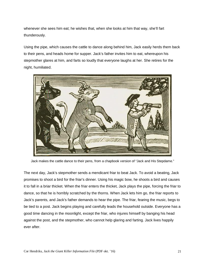whenever she sees him eat; he wishes that, when she looks at him that way, she'll fart thunderously.

Using the pipe, which causes the cattle to dance along behind him, Jack easily herds them back to their pens, and heads home for supper. Jack's father invites him to eat, whereupon his stepmother glares at him, and farts so loudly that everyone laughs at her. She retires for the night, humiliated.



Jack makes the cattle dance to their pens, from a chapbook version of "Jack and His Stepdame."

The next day, Jack's stepmother sends a mendicant friar to beat Jack. To avoid a beating, Jack promises to shoot a bird for the friar's dinner. Using his magic bow, he shoots a bird and causes it to fall in a briar thicket. When the friar enters the thicket, Jack plays the pipe, forcing the friar to dance, so that he is horribly scratched by the thorns. When Jack lets him go, the friar reports to Jack's parents, and Jack's father demands to hear the pipe. The friar, fearing the music, begs to be tied to a post. Jack begins playing and carefully leads the household outside. Everyone has a good time dancing in the moonlight, except the friar, who injures himself by banging his head against the post, and the stepmother, who cannot help glaring and farting. Jack lives happily ever after.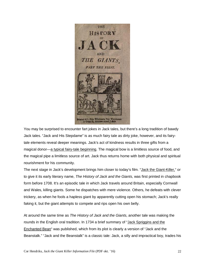

You may be surprised to encounter fart jokes in Jack tales, but there's a long tradition of bawdy Jack tales. "Jack and His Stepdame" is as much fairy tale as dirty joke, however, and its fairytale elements reveal deeper meanings. Jack's act of kindness results in three gifts from a magical donor—a typical fairy-tale beginning. The magical bow is a limitless source of food, and the magical pipe a limitless source of art. Jack thus returns home with both physical and spiritual nourishment for his community.

The next stage in Jack's development brings him closer to today's film. "Jack the Giant-Killer," or to give it its early literary name, *The History of Jack and the Giants*, was first printed in chapbook form before 1708. It's an episodic tale in which Jack travels around Britain, especially Cornwall and Wales, killing giants. Some he dispatches with mere violence. Others, he defeats with clever trickery, as when he fools a hapless giant by apparently cutting open his stomach; Jack's really faking it, but the giant attempts to compete and rips open his own belly.

At around the same time as *The History of Jack and the Giants*, another tale was making the rounds in the English oral tradition. In 1734 a brief summary of "Jack Spriggins and the Enchanted Bean" was published, which from its plot is clearly a version of "Jack and the Beanstalk." "Jack and the Beanstalk" is a classic tale: Jack, a silly and impractical boy, trades his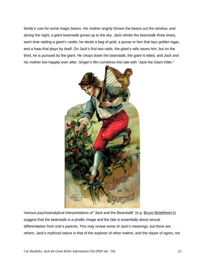family's cow for some magic beans. His mother angrily throws the beans out the window, and during the night, a giant beanstalk grows up to the sky. Jack climbs the beanstalk three times, each time raiding a giant's castle; he steals a bag of gold, a goose or hen that lays golden eggs, and a harp that plays by itself. On Jack's first two raids, the giant's wife saves him, but on the third, he is pursued by the giant. He chops down the beanstalk, the giant is killed, and Jack and his mother live happily ever after. Singer's film combines this tale with "Jack the Giant Killer."



Various psychoanalytical interpretations of "Jack and the Beanstalk" (e.g. Bruno Bettelheim's) suggest that the beanstalk is a phallic image and the tale is essentially about sexual differentiation from one's parents. This may reveal some of Jack's meanings, but there are others; Jack's mythical nature is that of the explorer of other realms, and the slayer of ogres, not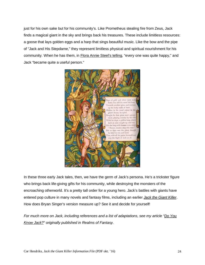just for his own sake but for his community's. Like Prometheus stealing fire from Zeus, Jack finds a magical giant in the sky and brings back his treasures. These include limitless resources: a goose that lays golden eggs and a harp that sings beautiful music. Like the bow and the pipe of "Jack and His Stepdame," they represent limitless physical and spiritual nourishment for his community. When he has them, in Flora Annie Steel's telling, "every one was quite happy," and Jack "became quite a useful person."



In these three early Jack tales, then, we have the germ of Jack's persona. He's a trickster figure who brings back life-giving gifts for his community, while destroying the monsters of the encroaching otherworld. It's a pretty tall order for a young hero. Jack's battles with giants have entered pop culture in many novels and fantasy films, including an earlier *Jack the Giant Killer*. How does Bryan Singer's version measure up? See it and decide for yourself!

*For much more on Jack, including references and a list of adaptations, see my article "Do You Know Jack?" originally published in Realms of Fantasy.*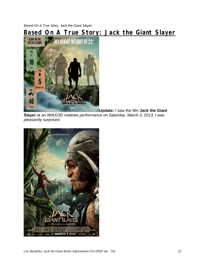*Based On A True Story: Jack the Giant Slayer*

# **Based On A True Story: Jack the Giant Slayer**



**Update:** *I saw the film* **Jack the Giant**

**Slayer** at *an IMAX/3D matinee performance on Saturday, March 2, 2013. I was pleasantly surprised.* 

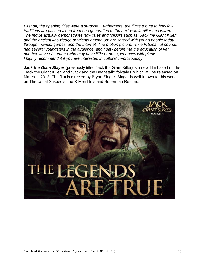*First off, the opening titles were a surprise. Furthermore, the film's tribute to how folk traditions are passed along from one generation to the next was familiar and warm. The movie actually demonstrates how tales and folklore such as "Jack the Giant Killer" and the ancient knowledge of "giants among us" are shared with young people today – through movies, games, and the Internet. The motion picture, while fictional, of course, had several youngsters in the audience, and I saw before me the education of yet another wave of humans who may have little or no experiences with giants. I highly recommend it if you are interested in cultural cryptozoology.*

**Jack the Giant Slayer** (previously titled Jack the Giant Killer) is a new film based on the "Jack the Giant Killer" and "Jack and the Beanstalk" folktales, which will be released on March 1, 2013. The film is directed by Bryan Singer. Singer is well-known for his work on The Usual Suspects, the X-Men films and Superman Returns.

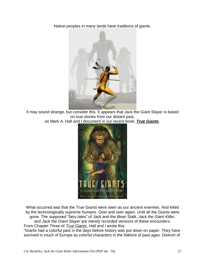Native peoples in many lands have traditions of giants.



It may sound strange, but consider this. It appears that Jack the Giant Slayer is based on true stories from our distant past,

as Mark A. Hall and I document in our recent book, *True Giants.*



What occurred was that the True Giants were seen as our ancient enemies. And killed by the technologically supreme humans. Over and over again. Until all the Giants were gone. The supposed "fairy tales" of *Jack and the Bean Stalk*, *Jack the Giant Killer*,

and *Jack the Giant Slayer* are merely recorded versions of these encounters. From Chapter Three of *True Giants*, Hall and I wrote this:

"Giants had a colorful past in the days before history was put down on paper. They have survived in much of Europe as colorful characters in the folklore of past ages. Dietrich of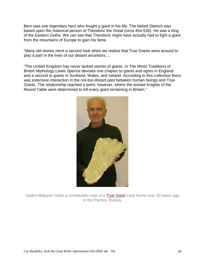Bern was one legendary hero who fought a giant in his life. The fabled Dietrich was based upon the historical person of Theodoric the Great (circa 454-526). He was a king of the Eastern Goths. We can see that Theodoric might have actually had to fight a giant from the mountains of Europe to gain his fame.

"Many old stories merit a second look when we realize that True Giants were around to play a part in the lives of our distant ancestors….

"The United Kingdom has never lacked stories of giants. In The Minor Traditions of British Mythology,Lewis Spence devotes one chapter to giants and ogres in England and a second to giants in Scotland, Wales, and Ireland. According to this collection there was extensive interaction in the not-too-distant past between human beings and True Giants. The relationship reached a point, however, where the storied Knights of the Round Table were determined to kill every giant remaining in Britain."



Vadim Makarov holds a remarkable cast of a True Giant track found over 30 years ago in the Pamirs, Russia.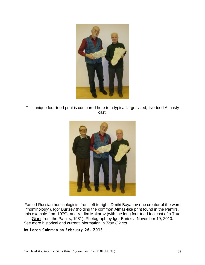

This unique four-toed print is compared here to a typical large-sized, five-toed Almasty cast.



Famed Russian hominologists, from left to right, Dmitri Bayanov (the creator of the word "hominology"), Igor Burtsev (holding the common Almas-like print found in the Pamirs, this example from 1979), and Vadim Makarov (with the long four-toed footcast of a True Giant from the Pamirs, 1981). Photograph by Igor Burtsev, November 19, 2010. See more historical and current information in *True Giants.*

**by Loren Coleman on February 26, 2013**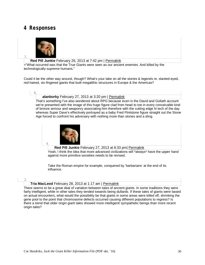# **4 Responses**



#### **Red Pill Junkie** February 26, 2013 at 7:42 pm | Permalink

>"What occurred was that the True Giants were seen as our ancient enemies. And killed by the technologically supreme humans."

Could it be the other way around, though? What's your take on all the stories & legends re. slanted-eyed, red-haired, six-fingered giants that built megalithic structures in Europe & the Americas?

#### I.

1.

**alanborky** February 27, 2013 at 3:20 pm | Permalink

That's something I've also wondered about RPG because even in the David and Goliath account we're presented with the image of this huge figure clad from head to toe in every conceivable kind of bronze armour and weaponry associating him therefore with the cutting edge hi tech of the day whereas Super Dave's effectively portrayed as a baby Fred Flintstone figure straight out the Stone Age forced to confront his adversary with nothing more than stones and a sling.



**Red Pill Junkie** February 27, 2013 at 6:33 pm| Permalink

Yeah, I think the idea that more advanced civilizations will \*always\* have the upper hand against more primitive societies needs to be revised.

Take the Roman empire for example, conquered by 'barbarians' at the end of its influence.

2.

#### **Tria MacLeod** February 28, 2013 at 1:17 am | Permalink

There seems to be a great deal of variation between tales of ancient giants. In some traditions they were fairly intelligent, while in other tales they tended towards being dullards. If these tales of giants were based on actual encounters, what would the possibility be that giants in some areas were killed off, shrinking the gene pool to the point that chromosome defects occurred causing different populations to regress? Is there a trend that older origin giant tales showed more intelligent/ sympathetic beings than more recent origin tales?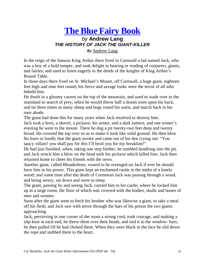# **The Blue Fairy Book**  *by* **Andrew Lang** *THE HISTORY OF JACK THE GIANT-KILLER by* Andrew Lang

In the reign of the famous King Arthur there lived in Cornwall a lad named Jack, who was a boy of a bold temper, and took delight in hearing or reading of conjurers, giants, and fairies; and used to listen eagerly to the deeds of the knights of King Arthur's Round Table.

In those days there lived on St. Michael's Mount, off Cornwall, a huge giant, eighteen feet high and nine feet round; his fierce and savage looks were the terror of all who beheld him.

He dwelt in a gloomy cavern on the top of the mountain, and used to wade over to the mainland in search of prey; when he would throw half a dozen oxen upon his back, and tie three times as many sheep and hogs round his waist, and march back to his own abode.

The giant had done this for many years when Jack resolved to destroy him.

Jack took a horn, a shovel, a pickaxe, his armor, and a dark lantern, and one winter's evening he went to the mount. There he dug a pit twenty-two feet deep and twenty broad. He covered the top over so as to make it look like solid ground. He then blew his horn so loudly that the giant awoke and came out of his den crying out: "You saucy villain! you shall pay for this I'll broil you for my breakfast!"

He had just finished, when, taking one step further, he tumbled headlong into the pit, and Jack struck him a blow on the head with his pickaxe which killed him. Jack then returned home to cheer his friends with the news.

Another giant, called Blunderbore, vowed to be revenged on Jack if ever he should have him in his power. This giant kept an enchanted castle in the midst of a lonely wood; and some time after the death of Cormoran Jack was passing through a wood, and being weary, sat down and went to sleep.

The giant, passing by and seeing Jack, carried him to his castle, where he locked him up in a large room, the floor of which was covered with the bodies, skulls and bones of men and women.

Soon after the giant went to fetch his brother who was likewise a giant, to take a meal off his flesh; and Jack saw with terror through the bars of his prison the two giants approaching.

Jack, perceiving in one corner of the room a strong cord, took courage, and making a slip-knot at each end, he threw them over their heads, and tied it to the window- bars; he then pulled till he had choked them. When they were black in the face he slid down the rope and stabbed them to the heart.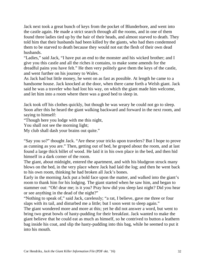Jack next took a great bunch of keys from the pocket of Blunderbore, and went into the castle again. He made a strict search through all the rooms, and in one of them found three ladies tied up by the hair of their heads, and almost starved to death. They told him that their husbands had been killed by the giants, who had then condemned them to be starved to death because they would not eat the flesh of their own dead husbands.

"Ladies," said Jack, "I have put an end to the monster and his wicked brother; and I give you this castle and all the riches it contains, to make some amends for the dreadful pains you have felt." He then very politely gave them the keys of the castle, and went further on his journey to Wales.

As Jack had but little money, he went on as fast as possible. At length he came to a handsome house. Jack knocked at the door, when there came forth a Welsh giant. Jack said he was a traveler who had lost his way, on which the giant made him welcome, and let him into a room where there was a good bed to sleep in.

Jack took off his clothes quickly, but though he was weary he could not go to sleep. Soon after this he heard the giant walking backward and forward in the next room, and saying to himself:

"Though here you lodge with me this night,

You shall not see the morning light;

My club shall dash your brains out quite."

"Say you so?" thought Jack. "Are these your tricks upon travelers? But I hope to prove as cunning as you are." Then, getting out of bed, he groped about the room, and at last found a large thick billet of wood. He laid it in his own place in the bed, and then hid himself in a dark corner of the room.

The giant, about midnight, entered the apartment, and with his bludgeon struck many blows on the bed, in the very place where Jack had laid the log; and then he went back to his own room, thinking he had broken all Jack's bones.

Early in the morning Jack put a bold face upon the matter, and walked into the giant's room to thank him for his lodging. The giant started when he saw him, and began to stammer out: "Oh! dear me; is it you? Pray how did you sleep last night? Did you hear or see anything in the dead of the night?"

"Nothing to speak of," said Jack, carelessly; "a rat, I believe, gave me three or four slaps with its tail, and disturbed me a little; but I soon went to sleep again."

The giant wondered more and more at this; yet he did not answer a word, but went to bring two great bowls of hasty-pudding for their breakfast. Jack wanted to make the giant believe that he could eat as much as himself, so he contrived to button a leathern bag inside his coat, and slip the hasty-pudding into this bag, while he seemed to put it into his mouth.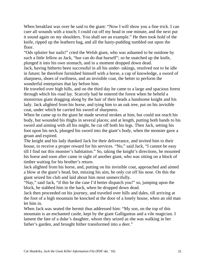When breakfast was over he said to the giant: "Now I will show you a fine trick. I can cure all wounds with a touch; I could cut off my head in one minute, and the next put it sound again on my shoulders. You shall see an example." He then took hold of the knife, ripped up the leathern bag, and all the hasty-pudding tumbled out upon the floor.

"Ods splutter hur nails!" cried the Welsh giant, who was ashamed to be outdone by such a little fellow as Jack, "hur can do that hurself"; so he snatched up the knife, plunged it into his own stomach, and in a moment dropped down dead.

Jack, having hitherto been successful in all his under- takings, resolved not to be idle in future; he therefore furnished himself with a horse, a cap of knowledge, a sword of sharpness, shoes of swiftness, and an invisible coat, the better to perform the wonderful enterprises that lay before him.

He traveled over high hills, and on the third day he came to a large and spacious forest through which his road lay. Scarcely had he entered the forest when he beheld a monstrous giant dragging along by the hair of their heads a handsome knight and his lady. Jack alighted from his horse, and tying him to an oak tree, put on his invisible coat, under which he carried his sword of sharpness.

When he came up to the giant he made several strokes at him, but could not reach his body, but wounded his thighs in several places; and at length, putting both hands to his sword and aiming with all his might, he cut off both his legs. Then Jack, setting his foot upon his neck, plunged his sword into the giant's body, when the monster gave a groan and expired.

The knight and his lady thanked Jack for their deliverance, and invited him to their house, to receive a proper reward for his services. "No," said Jack, "I cannot be easy till I find out this monster's habitation." So, taking the knight's directions, he mounted his horse and soon after came in sight of another giant, who was sitting on a block of timber waiting for his brother's return.

Jack alighted from his horse, and, putting on his invisible coat, approached and aimed a blow at the giant's head, but, missing his aim, he only cut off his nose. On this the giant seized his club and laid about him most unmercifully.

"Nay," said Jack, "if this be the case I'd better dispatch you!" so, jumping upon the block, he stabbed him in the back, when he dropped down dead.

Jack then proceeded on his journey, and traveled over hills and dales, till arriving at the foot of a high mountain he knocked at the door of a lonely house, when an old man let him in.

When Jack was seated the hermit thus addressed him: "My son, on the top of this mountain is an enchanted castle, kept by the giant Galligantus and a vile magician. I lament the fate of a duke's daughter, whom they seized as she was walking in her father's garden, and brought hither transformed into a deer."